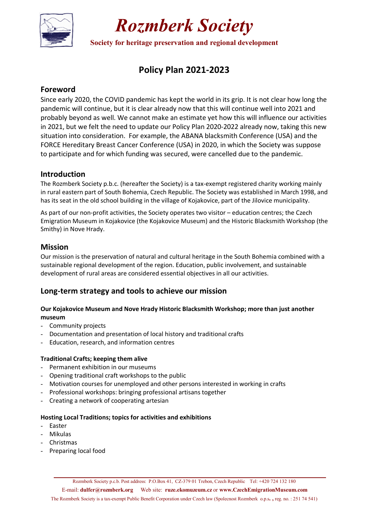

## *Rozmberk Society*

**Society for heritage preservation and regional development** 

## **Policy Plan 2021-2023**

## **Foreword**

Since early 2020, the COVID pandemic has kept the world in its grip. It is not clear how long the pandemic will continue, but it is clear already now that this will continue well into 2021 and probably beyond as well. We cannot make an estimate yet how this will influence our activities in 2021, but we felt the need to update our Policy Plan 2020-2022 already now, taking this new situation into consideration. For example, the ABANA blacksmith Conference (USA) and the FORCE Hereditary Breast Cancer Conference (USA) in 2020, in which the Society was suppose to participate and for which funding was secured, were cancelled due to the pandemic.

### **Introduction**

The Rozmberk Society p.b.c. (hereafter the Society) is a tax-exempt registered charity working mainly in rural eastern part of South Bohemia, Czech Republic. The Society was established in March 1998, and has its seat in the old school building in the village of Kojakovice, part of the Jilovice municipality.

As part of our non-profit activities, the Society operates two visitor – education centres; the Czech Emigration Museum in Kojakovice (the Kojakovice Museum) and the Historic Blacksmith Workshop (the Smithy) in Nove Hrady.

## **Mission**

Our mission is the preservation of natural and cultural heritage in the South Bohemia combined with a sustainable regional development of the region. Education, public involvement, and sustainable development of rural areas are considered essential objectives in all our activities.

## **Long-term strategy and tools to achieve our mission**

#### **Our Kojakovice Museum and Nove Hrady Historic Blacksmith Workshop; more than just another museum**

- Community projects
- Documentation and presentation of local history and traditional crafts
- Education, research, and information centres

### **Traditional Crafts; keeping them alive**

- Permanent exhibition in our museums
- Opening traditional craft workshops to the public
- Motivation courses for unemployed and other persons interested in working in crafts
- Professional workshops: bringing professional artisans together
- Creating a network of cooperating artesian

#### **Hosting Local Traditions; topics for activities and exhibitions**

- Easter
- Mikulas
- Christmas
- Preparing local food

E-mail: **dulfer@rozmberk.org** Web site: **ruze.ekomuzeum.cz** or **www.CzechEmigrationMuseum.com** 

The Rozmberk Society is a tax-exempt Public Benefit Corporation under Czech law (Spolecnost Rozmberk o.p.s**. ,** reg. no. : 251 74 541)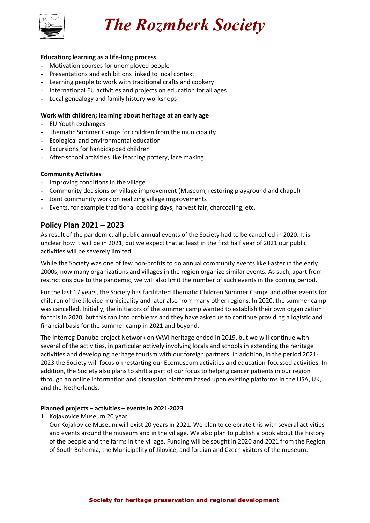

*The Rozmberk Society* 

#### **Education; learning as a life-long process**

- Motivation courses for unemployed people
- Presentations and exhibitions linked to local context
- Learning people to work with traditional crafts and cookery
- International EU activities and projects on education for all ages
- Local genealogy and family history workshops

#### **Work with children; learning about heritage at an early age**

- EU Youth exchanges
- Thematic Summer Camps for children from the municipality
- Ecological and environmental education
- Excursions for handicapped children
- After-school activities like learning pottery, lace making

#### **Community Activities**

- Improving conditions in the village
- Community decisions on village improvement (Museum, restoring playground and chapel)
- Joint community work on realizing village improvements
- Events, for example traditional cooking days, harvest fair, charcoaling, etc.

### **Policy Plan 2021 – 2023**

As result of the pandemic, all public annual events of the Society had to be cancelled in 2020. It is unclear how it will be in 2021, but we expect that at least in the first half year of 2021 our public activities will be severely limited.

While the Society was one of few non-profits to do annual community events like Easter in the early 2000s, now many organizations and villages in the region organize similar events. As such, apart from restrictions due to the pandemic, we will also limit the number of such events in the coming period.

For the last 17 years, the Society has facilitated Thematic Children Summer Camps and other events for children of the Jilovice municipality and later also from many other regions. In 2020, the summer camp was cancelled. Initially, the initiators of the summer camp wanted to establish their own organization for this in 2020, but this ran into problems and they have asked us to continue providing a logistic and financial basis for the summer camp in 2021 and beyond.

The Interreg-Danube project Network on WWI heritage ended in 2019, but we will continue with several of the activities, in particular actively involving locals and schools in extending the heritage activities and developing heritage tourism with our foreign partners. In addition, in the period 2021- 2023 the Society will focus on restarting our Ecomuseum activities and education-focussed activities. In addition, the Society also plans to shift a part of our focus to helping cancer patients in our region through an online information and discussion platform based upon existing platforms in the USA, UK, and the Netherlands.

#### **Planned projects – activities – events in 2021-2023**

1. Kojakovice Museum 20 year.

Our Kojakovice Museum will exist 20 years in 2021. We plan to celebrate this with several activities and events around the museum and in the village. We also plan to publish a book about the history of the people and the farms in the village. Funding will be sought in 2020 and 2021 from the Region of South Bohemia, the Municipality of Jilovice, and foreign and Czech visitors of the museum.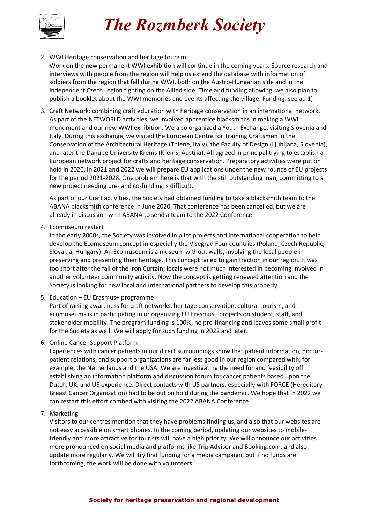# *The Rozmberk Society*



2. WWI Heritage conservation and heritage tourism.

Work on the new permanent WWI exhibition will continue in the coming years. Source research and interviews with people from the region will help us extend the database with information of soldiers from the region that fell during WWI, both on the Austro-Hungarian side and in the independent Czech Legion fighting on the Allied side. Time and funding allowing, we also plan to publish a booklet about the WWI memories and events affecting the village. Funding: see ad 1)

3. Craft Network: combining craft education with heritage conservation in an international network. As part of the NETWORLD activities, we involved apprentice blacksmiths in making a WWI monument and our new WWI exhibition. We also organized a Youth Exchange, visiting Slovenia and Italy. During this exchange, we visited the European Centre for Training Craftsmen in the Conservation of the Architectural Heritage (Thiene, Italy), the Faculty of Design (Ljubljana, Slovenia), and later the Danube University Krems (Krems, Austria). All agreed in principal trying to establish a European network project for crafts and heritage conservation. Preparatory activities were put on hold in 2020, in 2021 and 2022 we will prepare EU applications under the new rounds of EU projects for the period 2021-2028. One problem here is that with the still outstanding loan, committing to a new project needing pre- and co-funding is difficult.

As part of our Craft activities, the Society had obtained funding to take a blacksmith team to the ABANA blacksmith conference in June 2020. That conference has been cancelled, but we are already in discussion with ABANA to send a team to the 2022 Conference.

4. Ecomuseum restart

In the early 2000s, the Society was involved in pilot projects and international cooperation to help develop the Ecomuseum concept in especially the Visegrad Four countries (Poland, Czech Republic, Slovakia, Hungary). An Ecomuseum is a museum without walls, involving the local people in preserving and presenting their heritage. This concept failed to gain traction in our region. It was too short after the fall of the Iron Curtain; locals were not much interested in becoming involved in another volunteer community activity. Now the concept is getting renewed attention and the Society is looking for new local and international partners to develop this properly.

5. Education – EU Erasmus+ programme

Part of raising awareness for craft networks, heritage conservation, cultural tourism, and ecomuseums is in participating in or organizing EU Erasmus+ projects on student, staff, and stakeholder mobility. The program funding is 100%, no pre-financing and leaves some small profit for the Society as well. We will apply for such funding in 2022 and later.

6. Online Cancer Support Platform

Experiences with cancer patients in our direct surroundings show that patient information, doctorpatient relations, and support organizations are far less good in our region compared with, for example, the Netherlands and the USA. We are investigating the need for and feasibility off establishing an information platform and discussion forum for cancer patients based upon the Dutch, UK, and US experience. Direct contacts with US partners, especially with FORCE (Hereditary Breast Cancer Organization) had to be put on hold during the pandemic. We hope that in 2022 we can restart this effort combed with visiting the 2022 ABANA Conference .

7. Marketing

Visitors to our centres mention that they have problems finding us, and also that our websites are not easy accessible on smart phones. In the coming period, updating our websites to mobilefriendly and more attractive for tourists will have a high priority. We will announce our activities more pronounced on social media and platforms like Trip Advisor and Booking.com, and also update more regularly. We will try find funding for a media campaign, but if no funds are forthcoming, the work will be done with volunteers.